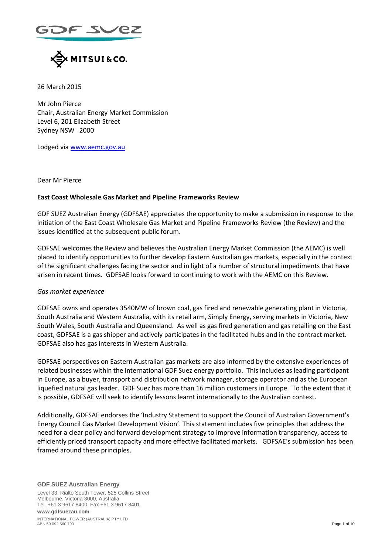$=$  2 $\sim$  62



26 March 2015

Mr John Pierce Chair, Australian Energy Market Commission Level 6, 201 Elizabeth Street Sydney NSW 2000

Lodged via [www.aemc.gov.au](http://www.aemc.gov.au/)

Dear Mr Pierce

#### **East Coast Wholesale Gas Market and Pipeline Frameworks Review**

GDF SUEZ Australian Energy (GDFSAE) appreciates the opportunity to make a submission in response to the initiation of the East Coast Wholesale Gas Market and Pipeline Frameworks Review (the Review) and the issues identified at the subsequent public forum.

GDFSAE welcomes the Review and believes the Australian Energy Market Commission (the AEMC) is well placed to identify opportunities to further develop Eastern Australian gas markets, especially in the context of the significant challenges facing the sector and in light of a number of structural impediments that have arisen in recent times. GDFSAE looks forward to continuing to work with the AEMC on this Review.

#### *Gas market experience*

GDFSAE owns and operates 3540MW of brown coal, gas fired and renewable generating plant in Victoria, South Australia and Western Australia, with its retail arm, Simply Energy, serving markets in Victoria, New South Wales, South Australia and Queensland. As well as gas fired generation and gas retailing on the East coast, GDFSAE is a gas shipper and actively participates in the facilitated hubs and in the contract market. GDFSAE also has gas interests in Western Australia.

GDFSAE perspectives on Eastern Australian gas markets are also informed by the extensive experiences of related businesses within the international GDF Suez energy portfolio. This includes as leading participant in Europe, as a buyer, transport and distribution network manager, storage operator and as the European liquefied natural gas leader. GDF Suez has more than 16 million customers in Europe. To the extent that it is possible, GDFSAE will seek to identify lessons learnt internationally to the Australian context.

Additionally, GDFSAE endorses the 'Industry Statement to support the Council of Australian Government's Energy Council Gas Market Development Vision'. This statement includes five principles that address the need for a clear policy and forward development strategy to improve information transparency, access to efficiently priced transport capacity and more effective facilitated markets. GDFSAE's submission has been framed around these principles.

**GDF SUEZ Australian Energy** Level 33, Rialto South Tower, 525 Collins Street Melbourne, Victoria 3000, Australia Tel. +61 3 9617 8400 Fax +61 3 9617 8401 **www.gdfsuezau.com**

INTERNATIONAL POWER (AUSTRALIA) PTY LTD ABN 59 092 560 793 Page 1 of 10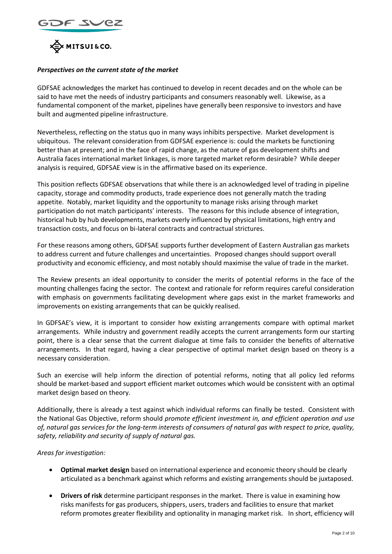



## *Perspectives on the current state of the market*

GDFSAE acknowledges the market has continued to develop in recent decades and on the whole can be said to have met the needs of industry participants and consumers reasonably well. Likewise, as a fundamental component of the market, pipelines have generally been responsive to investors and have built and augmented pipeline infrastructure.

Nevertheless, reflecting on the status quo in many ways inhibits perspective. Market development is ubiquitous. The relevant consideration from GDFSAE experience is: could the markets be functioning better than at present; and in the face of rapid change, as the nature of gas development shifts and Australia faces international market linkages, is more targeted market reform desirable? While deeper analysis is required, GDFSAE view is in the affirmative based on its experience.

This position reflects GDFSAE observations that while there is an acknowledged level of trading in pipeline capacity, storage and commodity products, trade experience does not generally match the trading appetite. Notably, market liquidity and the opportunity to manage risks arising through market participation do not match participants' interests. The reasons for this include absence of integration, historical hub by hub developments, markets overly influenced by physical limitations, high entry and transaction costs, and focus on bi-lateral contracts and contractual strictures.

For these reasons among others, GDFSAE supports further development of Eastern Australian gas markets to address current and future challenges and uncertainties. Proposed changes should support overall productivity and economic efficiency, and most notably should maximise the value of trade in the market.

The Review presents an ideal opportunity to consider the merits of potential reforms in the face of the mounting challenges facing the sector. The context and rationale for reform requires careful consideration with emphasis on governments facilitating development where gaps exist in the market frameworks and improvements on existing arrangements that can be quickly realised.

In GDFSAE's view, it is important to consider how existing arrangements compare with optimal market arrangements. While industry and government readily accepts the current arrangements form our starting point, there is a clear sense that the current dialogue at time fails to consider the benefits of alternative arrangements. In that regard, having a clear perspective of optimal market design based on theory is a necessary consideration.

Such an exercise will help inform the direction of potential reforms, noting that all policy led reforms should be market-based and support efficient market outcomes which would be consistent with an optimal market design based on theory.

Additionally, there is already a test against which individual reforms can finally be tested. Consistent with the National Gas Objective, reform should *promote efficient investment in, and efficient operation and use of, natural gas services for the long-term interests of consumers of natural gas with respect to price, quality, safety, reliability and security of supply of natural gas.*

#### *Areas for investigation:*

- **Optimal market design** based on international experience and economic theory should be clearly articulated as a benchmark against which reforms and existing arrangements should be juxtaposed.
- **Drivers of risk** determine participant responses in the market. There is value in examining how risks manifests for gas producers, shippers, users, traders and facilities to ensure that market reform promotes greater flexibility and optionality in managing market risk. In short, efficiency will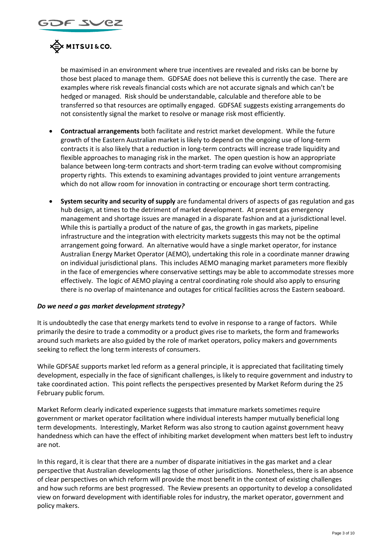

be maximised in an environment where true incentives are revealed and risks can be borne by those best placed to manage them. GDFSAE does not believe this is currently the case. There are examples where risk reveals financial costs which are not accurate signals and which can't be hedged or managed. Risk should be understandable, calculable and therefore able to be transferred so that resources are optimally engaged. GDFSAE suggests existing arrangements do not consistently signal the market to resolve or manage risk most efficiently.

- **Contractual arrangements** both facilitate and restrict market development. While the future growth of the Eastern Australian market is likely to depend on the ongoing use of long-term contracts it is also likely that a reduction in long-term contracts will increase trade liquidity and flexible approaches to managing risk in the market. The open question is how an appropriate balance between long-term contracts and short-term trading can evolve without compromising property rights. This extends to examining advantages provided to joint venture arrangements which do not allow room for innovation in contracting or encourage short term contracting.
- **System security and security of supply** are fundamental drivers of aspects of gas regulation and gas hub design, at times to the detriment of market development. At present gas emergency management and shortage issues are managed in a disparate fashion and at a jurisdictional level. While this is partially a product of the nature of gas, the growth in gas markets, pipeline infrastructure and the integration with electricity markets suggests this may not be the optimal arrangement going forward. An alternative would have a single market operator, for instance Australian Energy Market Operator (AEMO), undertaking this role in a coordinate manner drawing on individual jurisdictional plans. This includes AEMO managing market parameters more flexibly in the face of emergencies where conservative settings may be able to accommodate stresses more effectively. The logic of AEMO playing a central coordinating role should also apply to ensuring there is no overlap of maintenance and outages for critical facilities across the Eastern seaboard.

#### *Do we need a gas market development strategy?*

It is undoubtedly the case that energy markets tend to evolve in response to a range of factors. While primarily the desire to trade a commodity or a product gives rise to markets, the form and frameworks around such markets are also guided by the role of market operators, policy makers and governments seeking to reflect the long term interests of consumers.

While GDFSAE supports market led reform as a general principle, it is appreciated that facilitating timely development, especially in the face of significant challenges, is likely to require government and industry to take coordinated action. This point reflects the perspectives presented by Market Reform during the 25 February public forum.

Market Reform clearly indicated experience suggests that immature markets sometimes require government or market operator facilitation where individual interests hamper mutually beneficial long term developments. Interestingly, Market Reform was also strong to caution against government heavy handedness which can have the effect of inhibiting market development when matters best left to industry are not.

In this regard, it is clear that there are a number of disparate initiatives in the gas market and a clear perspective that Australian developments lag those of other jurisdictions. Nonetheless, there is an absence of clear perspectives on which reform will provide the most benefit in the context of existing challenges and how such reforms are best progressed. The Review presents an opportunity to develop a consolidated view on forward development with identifiable roles for industry, the market operator, government and policy makers.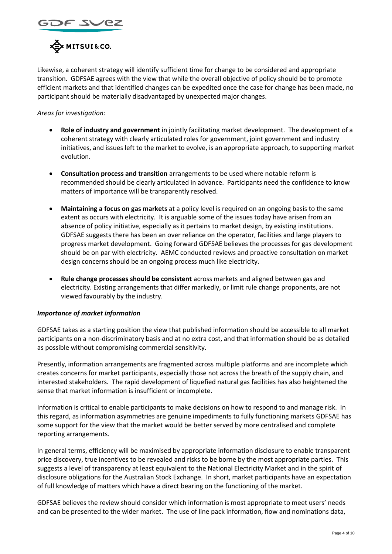



Likewise, a coherent strategy will identify sufficient time for change to be considered and appropriate transition. GDFSAE agrees with the view that while the overall objective of policy should be to promote efficient markets and that identified changes can be expedited once the case for change has been made, no participant should be materially disadvantaged by unexpected major changes.

# *Areas for investigation:*

- **Role of industry and government** in jointly facilitating market development. The development of a coherent strategy with clearly articulated roles for government, joint government and industry initiatives, and issues left to the market to evolve, is an appropriate approach, to supporting market evolution.
- **Consultation process and transition** arrangements to be used where notable reform is recommended should be clearly articulated in advance. Participants need the confidence to know matters of importance will be transparently resolved.
- **Maintaining a focus on gas markets** at a policy level is required on an ongoing basis to the same extent as occurs with electricity. It is arguable some of the issues today have arisen from an absence of policy initiative, especially as it pertains to market design, by existing institutions. GDFSAE suggests there has been an over reliance on the operator, facilities and large players to progress market development. Going forward GDFSAE believes the processes for gas development should be on par with electricity. AEMC conducted reviews and proactive consultation on market design concerns should be an ongoing process much like electricity.
- **Rule change processes should be consistent** across markets and aligned between gas and electricity. Existing arrangements that differ markedly, or limit rule change proponents, are not viewed favourably by the industry.

#### *Importance of market information*

GDFSAE takes as a starting position the view that published information should be accessible to all market participants on a non-discriminatory basis and at no extra cost, and that information should be as detailed as possible without compromising commercial sensitivity.

Presently, information arrangements are fragmented across multiple platforms and are incomplete which creates concerns for market participants, especially those not across the breath of the supply chain, and interested stakeholders. The rapid development of liquefied natural gas facilities has also heightened the sense that market information is insufficient or incomplete.

Information is critical to enable participants to make decisions on how to respond to and manage risk. In this regard, as information asymmetries are genuine impediments to fully functioning markets GDFSAE has some support for the view that the market would be better served by more centralised and complete reporting arrangements.

In general terms, efficiency will be maximised by appropriate information disclosure to enable transparent price discovery, true incentives to be revealed and risks to be borne by the most appropriate parties. This suggests a level of transparency at least equivalent to the National Electricity Market and in the spirit of disclosure obligations for the Australian Stock Exchange. In short, market participants have an expectation of full knowledge of matters which have a direct bearing on the functioning of the market.

GDFSAE believes the review should consider which information is most appropriate to meet users' needs and can be presented to the wider market. The use of line pack information, flow and nominations data,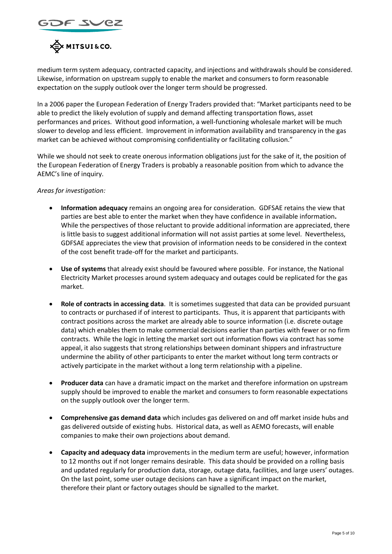



medium term system adequacy, contracted capacity, and injections and withdrawals should be considered. Likewise, information on upstream supply to enable the market and consumers to form reasonable expectation on the supply outlook over the longer term should be progressed.

In a 2006 paper the European Federation of Energy Traders provided that: "Market participants need to be able to predict the likely evolution of supply and demand affecting transportation flows, asset performances and prices. Without good information, a well-functioning wholesale market will be much slower to develop and less efficient. Improvement in information availability and transparency in the gas market can be achieved without compromising confidentiality or facilitating collusion."

While we should not seek to create onerous information obligations just for the sake of it, the position of the European Federation of Energy Traders is probably a reasonable position from which to advance the AEMC's line of inquiry.

*Areas for investigation:*

- **Information adequacy** remains an ongoing area for consideration. GDFSAE retains the view that parties are best able to enter the market when they have confidence in available information**.**  While the perspectives of those reluctant to provide additional information are appreciated, there is little basis to suggest additional information will not assist parties at some level. Nevertheless, GDFSAE appreciates the view that provision of information needs to be considered in the context of the cost benefit trade-off for the market and participants.
- **Use of systems** that already exist should be favoured where possible. For instance, the National Electricity Market processes around system adequacy and outages could be replicated for the gas market.
- **Role of contracts in accessing data**. It is sometimes suggested that data can be provided pursuant to contracts or purchased if of interest to participants. Thus, it is apparent that participants with contract positions across the market are already able to source information (i.e. discrete outage data) which enables them to make commercial decisions earlier than parties with fewer or no firm contracts. While the logic in letting the market sort out information flows via contract has some appeal, it also suggests that strong relationships between dominant shippers and infrastructure undermine the ability of other participants to enter the market without long term contracts or actively participate in the market without a long term relationship with a pipeline.
- **Producer data** can have a dramatic impact on the market and therefore information on upstream supply should be improved to enable the market and consumers to form reasonable expectations on the supply outlook over the longer term.
- **Comprehensive gas demand data** which includes gas delivered on and off market inside hubs and gas delivered outside of existing hubs. Historical data, as well as AEMO forecasts, will enable companies to make their own projections about demand.
- **Capacity and adequacy data** improvements in the medium term are useful; however, information to 12 months out if not longer remains desirable. This data should be provided on a rolling basis and updated regularly for production data, storage, outage data, facilities, and large users' outages. On the last point, some user outage decisions can have a significant impact on the market, therefore their plant or factory outages should be signalled to the market.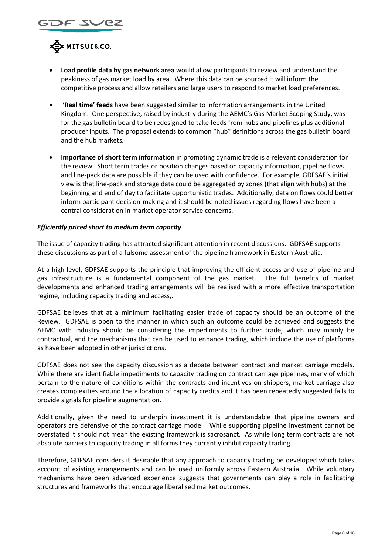



- **Load profile data by gas network area** would allow participants to review and understand the peakiness of gas market load by area. Where this data can be sourced it will inform the competitive process and allow retailers and large users to respond to market load preferences.
- **'Real time' feeds** have been suggested similar to information arrangements in the United Kingdom. One perspective, raised by industry during the AEMC's Gas Market Scoping Study, was for the gas bulletin board to be redesigned to take feeds from hubs and pipelines plus additional producer inputs. The proposal extends to common "hub" definitions across the gas bulletin board and the hub markets*.*
- **Importance of short term information** in promoting dynamic trade is a relevant consideration for the review. Short term trades or position changes based on capacity information, pipeline flows and line-pack data are possible if they can be used with confidence. For example, GDFSAE's initial view is that line-pack and storage data could be aggregated by zones (that align with hubs) at the beginning and end of day to facilitate opportunistic trades. Additionally, data on flows could better inform participant decision-making and it should be noted issues regarding flows have been a central consideration in market operator service concerns.

### *Efficiently priced short to medium term capacity*

The issue of capacity trading has attracted significant attention in recent discussions. GDFSAE supports these discussions as part of a fulsome assessment of the pipeline framework in Eastern Australia.

At a high-level, GDFSAE supports the principle that improving the efficient access and use of pipeline and gas infrastructure is a fundamental component of the gas market. The full benefits of market developments and enhanced trading arrangements will be realised with a more effective transportation regime, including capacity trading and access,.

GDFSAE believes that at a minimum facilitating easier trade of capacity should be an outcome of the Review. GDFSAE is open to the manner in which such an outcome could be achieved and suggests the AEMC with industry should be considering the impediments to further trade, which may mainly be contractual, and the mechanisms that can be used to enhance trading, which include the use of platforms as have been adopted in other jurisdictions.

GDFSAE does not see the capacity discussion as a debate between contract and market carriage models. While there are identifiable impediments to capacity trading on contract carriage pipelines, many of which pertain to the nature of conditions within the contracts and incentives on shippers, market carriage also creates complexities around the allocation of capacity credits and it has been repeatedly suggested fails to provide signals for pipeline augmentation.

Additionally, given the need to underpin investment it is understandable that pipeline owners and operators are defensive of the contract carriage model. While supporting pipeline investment cannot be overstated it should not mean the existing framework is sacrosanct. As while long term contracts are not absolute barriers to capacity trading in all forms they currently inhibit capacity trading.

Therefore, GDFSAE considers it desirable that any approach to capacity trading be developed which takes account of existing arrangements and can be used uniformly across Eastern Australia. While voluntary mechanisms have been advanced experience suggests that governments can play a role in facilitating structures and frameworks that encourage liberalised market outcomes.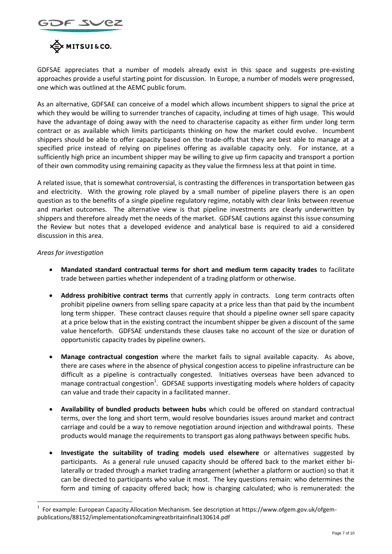



GDFSAE appreciates that a number of models already exist in this space and suggests pre-existing approaches provide a useful starting point for discussion. In Europe, a number of models were progressed, one which was outlined at the AEMC public forum.

As an alternative, GDFSAE can conceive of a model which allows incumbent shippers to signal the price at which they would be willing to surrender tranches of capacity, including at times of high usage. This would have the advantage of doing away with the need to characterise capacity as either firm under long term contract or as available which limits participants thinking on how the market could evolve. Incumbent shippers should be able to offer capacity based on the trade-offs that they are best able to manage at a specified price instead of relying on pipelines offering as available capacity only. For instance, at a sufficiently high price an incumbent shipper may be willing to give up firm capacity and transport a portion of their own commodity using remaining capacity as they value the firmness less at that point in time.

A related issue, that is somewhat controversial, is contrasting the differences in transportation between gas and electricity. With the growing role played by a small number of pipeline players there is an open question as to the benefits of a single pipeline regulatory regime, notably with clear links between revenue and market outcomes. The alternative view is that pipeline investments are clearly underwritten by shippers and therefore already met the needs of the market. GDFSAE cautions against this issue consuming the Review but notes that a developed evidence and analytical base is required to aid a considered discussion in this area.

### *Areas for investigation*

1

- **Mandated standard contractual terms for short and medium term capacity trades** to facilitate trade between parties whether independent of a trading platform or otherwise.
- **Address prohibitive contract terms** that currently apply in contracts. Long term contracts often prohibit pipeline owners from selling spare capacity at a price less than that paid by the incumbent long term shipper. These contract clauses require that should a pipeline owner sell spare capacity at a price below that in the existing contract the incumbent shipper be given a discount of the same value henceforth. GDFSAE understands these clauses take no account of the size or duration of opportunistic capacity trades by pipeline owners.
- **Manage contractual congestion** where the market fails to signal available capacity. As above, there are cases where in the absence of physical congestion access to pipeline infrastructure can be difficult as a pipeline is contractually congested. Initiatives overseas have been advanced to manage contractual congestion<sup>1</sup>. GDFSAE supports investigating models where holders of capacity can value and trade their capacity in a facilitated manner.
- **Availability of bundled products between hubs** which could be offered on standard contractual terms, over the long and short term, would resolve boundaries issues around market and contract carriage and could be a way to remove negotiation around injection and withdrawal points. These products would manage the requirements to transport gas along pathways between specific hubs.
- **Investigate the suitability of trading models used elsewhere** or alternatives suggested by participants. As a general rule unused capacity should be offered back to the market either bilaterally or traded through a market trading arrangement (whether a platform or auction) so that it can be directed to participants who value it most. The key questions remain: who determines the form and timing of capacity offered back; how is charging calculated; who is remunerated: the

<sup>1</sup> For example: European Capacity Allocation Mechanism. See description at https://www.ofgem.gov.uk/ofgempublications/88152/implementationofcamingreatbritainfinal130614.pdf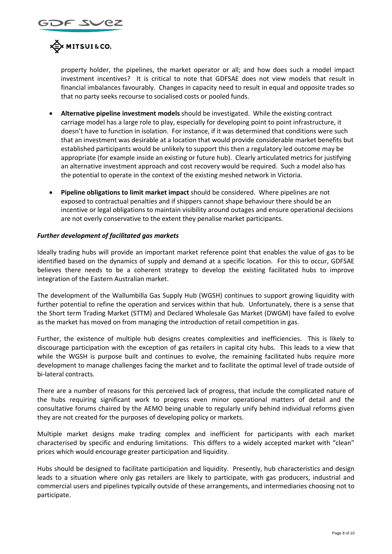

property holder, the pipelines, the market operator or all; and how does such a model impact investment incentives? It is critical to note that GDFSAE does not view models that result in financial imbalances favourably. Changes in capacity need to result in equal and opposite trades so that no party seeks recourse to socialised costs or pooled funds.

- **Alternative pipeline investment models** should be investigated. While the existing contract carriage model has a large role to play, especially for developing point to point infrastructure, it doesn't have to function in isolation. For instance, if it was determined that conditions were such that an investment was desirable at a location that would provide considerable market benefits but established participants would be unlikely to support this then a regulatory led outcome may be appropriate (for example inside an existing or future hub). Clearly articulated metrics for justifying an alternative investment approach and cost recovery would be required. Such a model also has the potential to operate in the context of the existing meshed network in Victoria.
- **Pipeline obligations to limit market impact** should be considered. Where pipelines are not exposed to contractual penalties and if shippers cannot shape behaviour there should be an incentive or legal obligations to maintain visibility around outages and ensure operational decisions are not overly conservative to the extent they penalise market participants.

#### *Further development of facilitated gas markets*

Ideally trading hubs will provide an important market reference point that enables the value of gas to be identified based on the dynamics of supply and demand at a specific location. For this to occur, GDFSAE believes there needs to be a coherent strategy to develop the existing facilitated hubs to improve integration of the Eastern Australian market.

The development of the Wallumbilla Gas Supply Hub (WGSH) continues to support growing liquidity with further potential to refine the operation and services within that hub. Unfortunately, there is a sense that the Short term Trading Market (STTM) and Declared Wholesale Gas Market (DWGM) have failed to evolve as the market has moved on from managing the introduction of retail competition in gas.

Further, the existence of multiple hub designs creates complexities and inefficiencies. This is likely to discourage participation with the exception of gas retailers in capital city hubs. This leads to a view that while the WGSH is purpose built and continues to evolve, the remaining facilitated hubs require more development to manage challenges facing the market and to facilitate the optimal level of trade outside of bi-lateral contracts.

There are a number of reasons for this perceived lack of progress, that include the complicated nature of the hubs requiring significant work to progress even minor operational matters of detail and the consultative forums chaired by the AEMO being unable to regularly unify behind individual reforms given they are not created for the purposes of developing policy or markets.

Multiple market designs make trading complex and inefficient for participants with each market characterised by specific and enduring limitations. This differs to a widely accepted market with "clean" prices which would encourage greater participation and liquidity.

Hubs should be designed to facilitate participation and liquidity. Presently, hub characteristics and design leads to a situation where only gas retailers are likely to participate, with gas producers, industrial and commercial users and pipelines typically outside of these arrangements, and intermediaries choosing not to participate.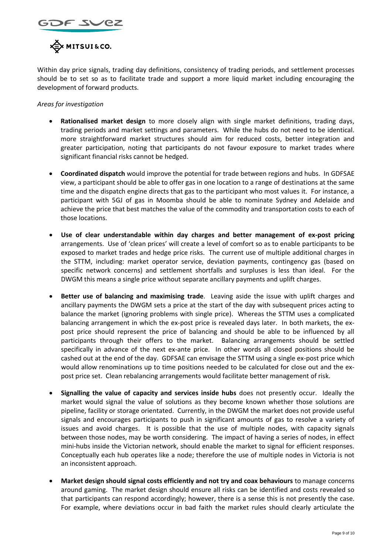



Within day price signals, trading day definitions, consistency of trading periods, and settlement processes should be to set so as to facilitate trade and support a more liquid market including encouraging the development of forward products.

### *Areas for investigation*

- **Rationalised market design** to more closely align with single market definitions, trading days, trading periods and market settings and parameters. While the hubs do not need to be identical. more straightforward market structures should aim for reduced costs, better integration and greater participation, noting that participants do not favour exposure to market trades where significant financial risks cannot be hedged.
- **Coordinated dispatch** would improve the potential for trade between regions and hubs. In GDFSAE view, a participant should be able to offer gas in one location to a range of destinations at the same time and the dispatch engine directs that gas to the participant who most values it. For instance, a participant with 5GJ of gas in Moomba should be able to nominate Sydney and Adelaide and achieve the price that best matches the value of the commodity and transportation costs to each of those locations.
- **Use of clear understandable within day charges and better management of ex-post pricing** arrangements. Use of 'clean prices' will create a level of comfort so as to enable participants to be exposed to market trades and hedge price risks. The current use of multiple additional charges in the STTM, including: market operator service, deviation payments, contingency gas (based on specific network concerns) and settlement shortfalls and surpluses is less than ideal. For the DWGM this means a single price without separate ancillary payments and uplift charges.
- **Better use of balancing and maximising trade**. Leaving aside the issue with uplift charges and ancillary payments the DWGM sets a price at the start of the day with subsequent prices acting to balance the market (ignoring problems with single price). Whereas the STTM uses a complicated balancing arrangement in which the ex-post price is revealed days later. In both markets, the expost price should represent the price of balancing and should be able to be influenced by all participants through their offers to the market. Balancing arrangements should be settled specifically in advance of the next ex-ante price. In other words all closed positions should be cashed out at the end of the day. GDFSAE can envisage the STTM using a single ex-post price which would allow renominations up to time positions needed to be calculated for close out and the expost price set. Clean rebalancing arrangements would facilitate better management of risk.
- **Signalling the value of capacity and services inside hubs** does not presently occur. Ideally the market would signal the value of solutions as they become known whether those solutions are pipeline, facility or storage orientated. Currently, in the DWGM the market does not provide useful signals and encourages participants to push in significant amounts of gas to resolve a variety of issues and avoid charges. It is possible that the use of multiple nodes, with capacity signals between those nodes, may be worth considering. The impact of having a series of nodes, in effect mini-hubs inside the Victorian network, should enable the market to signal for efficient responses. Conceptually each hub operates like a node; therefore the use of multiple nodes in Victoria is not an inconsistent approach.
- **Market design should signal costs efficiently and not try and coax behaviours** to manage concerns around gaming. The market design should ensure all risks can be identified and costs revealed so that participants can respond accordingly; however, there is a sense this is not presently the case. For example, where deviations occur in bad faith the market rules should clearly articulate the